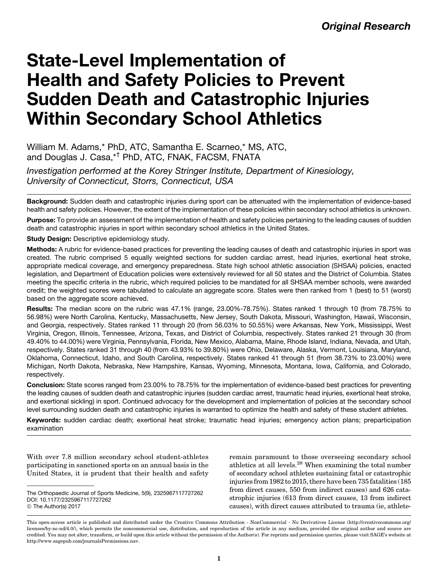# State-Level Implementation of Health and Safety Policies to Prevent Sudden Death and Catastrophic Injuries Within Secondary School Athletics

William M. Adams,\* PhD, ATC, Samantha E. Scarneo,\* MS, ATC, and Douglas J. Casa,\*† PhD, ATC, FNAK, FACSM, FNATA

Investigation performed at the Korey Stringer Institute, Department of Kinesiology, University of Connecticut, Storrs, Connecticut, USA

Background: Sudden death and catastrophic injuries during sport can be attenuated with the implementation of evidence-based health and safety policies. However, the extent of the implementation of these policies within secondary school athletics is unknown.

Purpose: To provide an assessment of the implementation of health and safety policies pertaining to the leading causes of sudden death and catastrophic injuries in sport within secondary school athletics in the United States.

**Study Design:** Descriptive epidemiology study.

Methods: A rubric for evidence-based practices for preventing the leading causes of death and catastrophic injuries in sport was created. The rubric comprised 5 equally weighted sections for sudden cardiac arrest, head injuries, exertional heat stroke, appropriate medical coverage, and emergency preparedness. State high school athletic association (SHSAA) policies, enacted legislation, and Department of Education policies were extensively reviewed for all 50 states and the District of Columbia. States meeting the specific criteria in the rubric, which required policies to be mandated for all SHSAA member schools, were awarded credit; the weighted scores were tabulated to calculate an aggregate score. States were then ranked from 1 (best) to 51 (worst) based on the aggregate score achieved.

Results: The median score on the rubric was 47.1% (range, 23.00%-78.75%). States ranked 1 through 10 (from 78.75% to 56.98%) were North Carolina, Kentucky, Massachusetts, New Jersey, South Dakota, Missouri, Washington, Hawaii, Wisconsin, and Georgia, respectively. States ranked 11 through 20 (from 56.03% to 50.55%) were Arkansas, New York, Mississippi, West Virginia, Oregon, Illinois, Tennessee, Arizona, Texas, and District of Columbia, respectively. States ranked 21 through 30 (from 49.40% to 44.00%) were Virginia, Pennsylvania, Florida, New Mexico, Alabama, Maine, Rhode Island, Indiana, Nevada, and Utah, respectively. States ranked 31 through 40 (from 43.93% to 39.80%) were Ohio, Delaware, Alaska, Vermont, Louisiana, Maryland, Oklahoma, Connecticut, Idaho, and South Carolina, respectively. States ranked 41 through 51 (from 38.73% to 23.00%) were Michigan, North Dakota, Nebraska, New Hampshire, Kansas, Wyoming, Minnesota, Montana, Iowa, California, and Colorado, respectively.

Conclusion: State scores ranged from 23.00% to 78.75% for the implementation of evidence-based best practices for preventing the leading causes of sudden death and catastrophic injuries (sudden cardiac arrest, traumatic head injuries, exertional heat stroke, and exertional sickling) in sport. Continued advocacy for the development and implementation of policies at the secondary school level surrounding sudden death and catastrophic injuries is warranted to optimize the health and safety of these student athletes.

Keywords: sudden cardiac death; exertional heat stroke; traumatic head injuries; emergency action plans; preparticipation examination

With over 7.8 million secondary school student-athletes participating in sanctioned sports on an annual basis in the United States, it is prudent that their health and safety remain paramount to those overseeing secondary school athletics at all levels.<sup>28</sup> When examining the total number of secondary school athletes sustaining fatal or catastrophic injuries from 1982 to 2015, there have been 735 fatalities (185 from direct causes, 550 from indirect causes) and 626 catastrophic injuries (613 from direct causes, 13 from indirect causes), with direct causes attributed to trauma (ie, athlete-

The Orthopaedic Journal of Sports Medicine, 5(9), 2325967117727262 [DOI: 10.1177/2325967117727262](https://doi.org/) © The Author(s) 2017

This open-access article is published and distributed under the Creative Commons Attribution - NonCommercial - No Derivatives License (http://creativecommons.org/ licenses/by-nc-nd/4.0/), which permits the noncommercial use, distribution, and reproduction of the article in any medium, provided the original author and source are credited. You may not alter, transform, or build upon this article without the permission of the Author(s). For reprints and permission queries, please visit SAGE's website at http://www.sagepub.com/journalsPermissions.nav.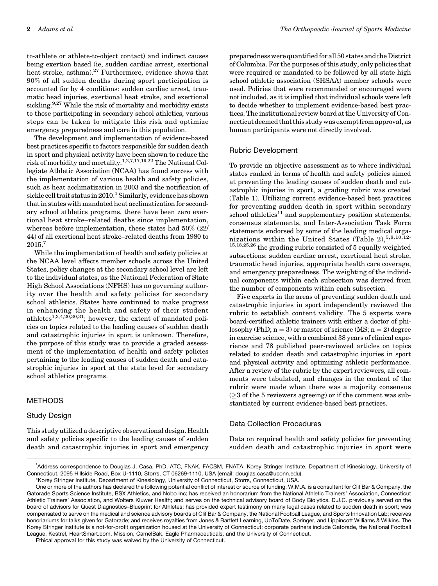to-athlete or athlete-to-object contact) and indirect causes being exertion based (ie, sudden cardiac arrest, exertional heat stroke, asthma).<sup>27</sup> Furthermore, evidence shows that 90% of all sudden deaths during sport participation is accounted for by 4 conditions: sudden cardiac arrest, traumatic head injuries, exertional heat stroke, and exertional sickling. $9.27$  While the risk of mortality and morbidity exists to those participating in secondary school athletics, various steps can be taken to mitigate this risk and optimize emergency preparedness and care in this population.

The development and implementation of evidence-based best practices specific to factors responsible for sudden death in sport and physical activity have been shown to reduce the risk of morbidity and mortality.1,2,7,17,19,22 The National Collegiate Athletic Association (NCAA) has found success with the implementation of various health and safety policies, such as heat acclimatization in 2003 and the notification of sickle cell trait status in  $2010<sup>1</sup>$  Similarly, evidence has shown that in states with mandated heat acclimatization for secondary school athletics programs, there have been zero exertional heat stroke–related deaths since implementation, whereas before implementation, these states had 50% (22/ 44) of all exertional heat stroke–related deaths from 1980 to 2015.7

While the implementation of health and safety policies at the NCAA level affects member schools across the United States, policy changes at the secondary school level are left to the individual states, as the National Federation of State High School Associations (NFHS) has no governing authority over the health and safety policies for secondary school athletics. States have continued to make progress in enhancing the health and safety of their student athletes<sup>1,3,4,20,30,31</sup>; however, the extent of mandated policies on topics related to the leading causes of sudden death and catastrophic injuries in sport is unknown. Therefore, the purpose of this study was to provide a graded assessment of the implementation of health and safety policies pertaining to the leading causes of sudden death and catastrophic injuries in sport at the state level for secondary school athletics programs.

# METHODS

#### Study Design

This study utilized a descriptive observational design. Health and safety policies specific to the leading causes of sudden death and catastrophic injuries in sport and emergency preparedness were quantified for all 50 states and the District of Columbia. For the purposes of this study, only policies that were required or mandated to be followed by all state high school athletic association (SHSAA) member schools were used. Policies that were recommended or encouraged were not included, as it is implied that individual schools were left to decide whether to implement evidence-based best practices. The institutional review board at the University of Connecticut deemed that this study was exempt from approval, as human participants were not directly involved.

#### Rubric Development

To provide an objective assessment as to where individual states ranked in terms of health and safety policies aimed at preventing the leading causes of sudden death and catastrophic injuries in sport, a grading rubric was created (Table 1). Utilizing current evidence-based best practices for preventing sudden death in sport within secondary school athletics<sup>11</sup> and supplementary position statements, consensus statements, and Inter-Association Task Force statements endorsed by some of the leading medical organizations within the United States (Table 2),  $5,8,10,12$ -15,18,25,26 the grading rubric consisted of 5 equally weighted subsections: sudden cardiac arrest, exertional heat stroke, traumatic head injuries, appropriate health care coverage, and emergency preparedness. The weighting of the individual components within each subsection was derived from the number of components within each subsection.

Five experts in the areas of preventing sudden death and catastrophic injuries in sport independently reviewed the rubric to establish content validity. The 5 experts were board-certified athletic trainers with either a doctor of philosophy (PhD;  $n = 3$ ) or master of science (MS;  $n = 2$ ) degree in exercise science, with a combined 38 years of clinical experience and 78 published peer-reviewed articles on topics related to sudden death and catastrophic injuries in sport and physical activity and optimizing athletic performance. After a review of the rubric by the expert reviewers, all comments were tabulated, and changes in the content of the rubric were made when there was a majority consensus  $(\geq)$  of the 5 reviewers agreeing) or if the comment was substantiated by current evidence-based best practices.

# Data Collection Procedures

Data on required health and safety policies for preventing sudden death and catastrophic injuries in sport were

Ethical approval for this study was waived by the University of Connecticut.

<sup>†</sup> Address correspondence to Douglas J. Casa, PhD, ATC, FNAK, FACSM, FNATA, Korey Stringer Institute, Department of Kinesiology, University of Connecticut, 2095 Hillside Road, Box U-1110, Storrs, CT 06269-1110, USA (email: [douglas.casa@uconn.edu\)](mailto:douglas.casa@uconn.edu).

<sup>\*</sup>Korey Stringer Institute, Department of Kinesiology, University of Connecticut, Storrs, Connecticut, USA.

One or more of the authors has declared the following potential conflict of interest or source of funding: W.M.A. is a consultant for Clif Bar & Company, the Gatorade Sports Science Institute, BSX Athletics, and Nobo Inc; has received an honorarium from the National Athletic Trainers' Association, Connecticut Athletic Trainers' Association, and Wolters Kluwer Health; and serves on the technical advisory board of Body Biolytics. D.J.C. previously served on the board of advisors for Quest Diagnostics–Blueprint for Athletes; has provided expert testimony on many legal cases related to sudden death in sport; was compensated to serve on the medical and science advisory boards of Clif Bar & Company, the National Football League, and Sports Innovation Lab; receives honoriariums for talks given for Gatorade; and receives royalties from Jones & Bartlett Learning, UpToDate, Springer, and Lippincott Williams & Wilkins. The Korey Stringer Institute is a not-for-profit organization housed at the University of Connecticut; corporate partners include Gatorade, the National Football League, Kestrel, HeartSmart.com, Mission, CamelBak, Eagle Pharmaceuticals, and the University of Connecticut.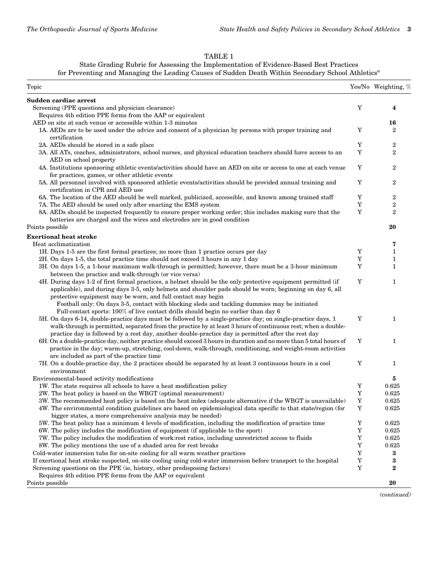# TABLE 1

# State Grading Rubric for Assessing the Implementation of Evidence-Based Best Practices

| for Preventing and Managing the Leading Causes of Sudden Death Within Secondary School Athletics <sup>a</sup> |  |
|---------------------------------------------------------------------------------------------------------------|--|
|---------------------------------------------------------------------------------------------------------------|--|

| Topic                                                                                                                                                                                                                                                                                                                                                                                                                                                                             |             | Yes/No Weighting, % |
|-----------------------------------------------------------------------------------------------------------------------------------------------------------------------------------------------------------------------------------------------------------------------------------------------------------------------------------------------------------------------------------------------------------------------------------------------------------------------------------|-------------|---------------------|
| Sudden cardiac arrest                                                                                                                                                                                                                                                                                                                                                                                                                                                             |             |                     |
| Screening (PPE questions and physician clearance)                                                                                                                                                                                                                                                                                                                                                                                                                                 | Y           | 4                   |
| Requires 4th edition PPE forms from the AAP or equivalent                                                                                                                                                                                                                                                                                                                                                                                                                         |             |                     |
| AED on site at each venue or accessible within 1-3 minutes                                                                                                                                                                                                                                                                                                                                                                                                                        |             | 16                  |
| 1A. AEDs are to be used under the advice and consent of a physician by persons with proper training and                                                                                                                                                                                                                                                                                                                                                                           | Y           | 2                   |
| certification                                                                                                                                                                                                                                                                                                                                                                                                                                                                     |             |                     |
| 2A. AEDs should be stored in a safe place                                                                                                                                                                                                                                                                                                                                                                                                                                         | Y           | $\overline{2}$      |
| 3A. All ATs, coaches, administrators, school nurses, and physical education teachers should have access to an<br>AED on school property                                                                                                                                                                                                                                                                                                                                           | Y           | $\overline{2}$      |
| 4A. Institutions sponsoring athletic events/activities should have an AED on site or access to one at each venue<br>for practices, games, or other athletic events                                                                                                                                                                                                                                                                                                                | Y           | $\overline{2}$      |
| 5A. All personnel involved with sponsored athletic events/activities should be provided annual training and<br>certification in CPR and AED use                                                                                                                                                                                                                                                                                                                                   | Y           | $\overline{2}$      |
| 6A. The location of the AED should be well marked, publicized, accessible, and known among trained staff                                                                                                                                                                                                                                                                                                                                                                          | Y           | $\overline{2}$      |
| 7A. The AED should be used only after enacting the EMS system                                                                                                                                                                                                                                                                                                                                                                                                                     | Y           | $\boldsymbol{2}$    |
| 8A. AEDs should be inspected frequently to ensure proper working order; this includes making sure that the<br>batteries are charged and the wires and electrodes are in good condition                                                                                                                                                                                                                                                                                            | Y           | $\overline{2}$      |
| Points possible                                                                                                                                                                                                                                                                                                                                                                                                                                                                   |             | 20                  |
| <b>Exertional heat stroke</b>                                                                                                                                                                                                                                                                                                                                                                                                                                                     |             |                     |
| Heat acclimatization                                                                                                                                                                                                                                                                                                                                                                                                                                                              |             | 7                   |
| 1H. Days 1-5 are the first formal practices; no more than 1 practice occurs per day                                                                                                                                                                                                                                                                                                                                                                                               | Y           | $\mathbf{1}$        |
| 2H. On days 1-5, the total practice time should not exceed 3 hours in any 1 day                                                                                                                                                                                                                                                                                                                                                                                                   | Y           | 1                   |
| 3H. On days 1-5, a 1-hour maximum walk-through is permitted; however, there must be a 3-hour minimum<br>between the practice and walk-through (or vice versa)                                                                                                                                                                                                                                                                                                                     | Y           | 1                   |
| 4H. During days 1-2 of first formal practices, a helmet should be the only protective equipment permitted (if<br>applicable), and during days 3-5, only helmets and shoulder pads should be worn; beginning on day 6, all<br>protective equipment may be worn, and full contact may begin<br>Football only: On days 3-5, contact with blocking sleds and tackling dummies may be initiated<br>Full-contact sports: 100% of live contact drills should begin no earlier than day 6 | Y           | $\mathbf{1}$        |
| 5H. On days 6-14, double-practice days must be followed by a single-practice day; on single-practice days, 1<br>walk-through is permitted, separated from the practice by at least 3 hours of continuous rest; when a double-<br>practice day is followed by a rest day, another double-practice day is permitted after the rest day                                                                                                                                              | Y           | $\mathbf{1}$        |
| 6H. On a double-practice day, neither practice should exceed 3 hours in duration and no more than 5 total hours of<br>practice in the day; warm-up, stretching, cool-down, walk-through, conditioning, and weight-room activities<br>are included as part of the practice time                                                                                                                                                                                                    | Y           | 1                   |
| 7H. On a double-practice day, the 2 practices should be separated by at least 3 continuous hours in a cool<br>environment                                                                                                                                                                                                                                                                                                                                                         | Y           | 1                   |
| Environmental-based activity modifications                                                                                                                                                                                                                                                                                                                                                                                                                                        |             | 5                   |
| 1W. The state requires all schools to have a heat modification policy                                                                                                                                                                                                                                                                                                                                                                                                             | Y           | 0.625               |
| 2W. The heat policy is based on the WBGT (optimal measurement)                                                                                                                                                                                                                                                                                                                                                                                                                    | $\mathbf Y$ | 0.625               |
| 3W. The recommended heat policy is based on the heat index (adequate alternative if the WBGT is unavailable)                                                                                                                                                                                                                                                                                                                                                                      | $\mathbf Y$ | 0.625               |
| 4W. The environmental condition guidelines are based on epidemiological data specific to that state/region (for<br>bigger states, a more comprehensive analysis may be needed)                                                                                                                                                                                                                                                                                                    | $\mathbf Y$ | 0.625               |
| 5W. The heat policy has a minimum 4 levels of modification, including the modification of practice time                                                                                                                                                                                                                                                                                                                                                                           | $\mathbf Y$ | 0.625               |
| 6W. The policy includes the modification of equipment (if applicable to the sport)                                                                                                                                                                                                                                                                                                                                                                                                | Y           | 0.625               |
| 7W. The policy includes the modification of work: rest ratios, including unrestricted access to fluids                                                                                                                                                                                                                                                                                                                                                                            | Y           | 0.625               |
| 8W. The policy mentions the use of a shaded area for rest breaks                                                                                                                                                                                                                                                                                                                                                                                                                  | Y           | 0.625               |
| Cold-water immersion tubs for on-site cooling for all warm weather practices                                                                                                                                                                                                                                                                                                                                                                                                      | Y           | 3                   |
| If exertional heat stroke suspected, on-site cooling using cold-water immersion before transport to the hospital                                                                                                                                                                                                                                                                                                                                                                  | Y           | 3                   |
| Screening questions on the PPE (ie, history, other predisposing factors)                                                                                                                                                                                                                                                                                                                                                                                                          | Y           | $\bf{2}$            |
| Requires 4th edition PPE forms from the AAP or equivalent<br>Points possible                                                                                                                                                                                                                                                                                                                                                                                                      |             | 20                  |
|                                                                                                                                                                                                                                                                                                                                                                                                                                                                                   |             |                     |

(continued)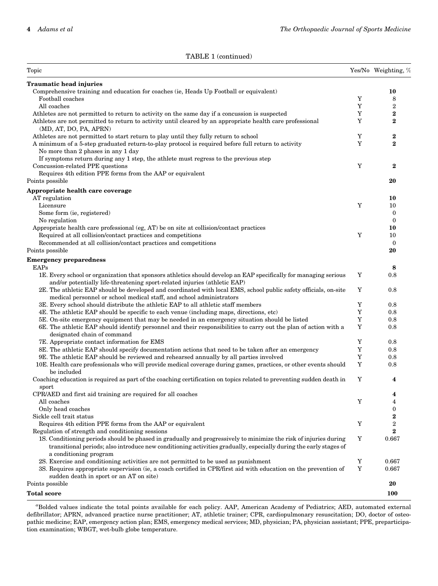# TABLE 1 (continued)

| Topic                                                                                                                                                                                                                                                           |             | Yes/No Weighting, % |
|-----------------------------------------------------------------------------------------------------------------------------------------------------------------------------------------------------------------------------------------------------------------|-------------|---------------------|
| Traumatic head injuries                                                                                                                                                                                                                                         |             |                     |
| Comprehensive training and education for coaches (ie, Heads Up Football or equivalent)                                                                                                                                                                          |             | 10                  |
| Football coaches                                                                                                                                                                                                                                                | Y           | 8                   |
| All coaches                                                                                                                                                                                                                                                     | Y           | $\overline{2}$      |
| Athletes are not permitted to return to activity on the same day if a concussion is suspected                                                                                                                                                                   | Y           | $\bf{2}$            |
| Athletes are not permitted to return to activity until cleared by an appropriate health care professional<br>(MD, AT, DO, PA, APRN)                                                                                                                             | Y           | $\bf{2}$            |
| Athletes are not permitted to start return to play until they fully return to school                                                                                                                                                                            | Y           | $\bf{2}$            |
| A minimum of a 5-step graduated return-to-play protocol is required before full return to activity<br>No more than 2 phases in any 1 day                                                                                                                        | Y           | $\overline{2}$      |
| If symptoms return during any 1 step, the athlete must regress to the previous step                                                                                                                                                                             |             |                     |
| Concussion-related PPE questions                                                                                                                                                                                                                                | Y           | $\bf{2}$            |
| Requires 4th edition PPE forms from the AAP or equivalent                                                                                                                                                                                                       |             |                     |
| Points possible                                                                                                                                                                                                                                                 |             | 20                  |
| Appropriate health care coverage                                                                                                                                                                                                                                |             |                     |
| AT regulation                                                                                                                                                                                                                                                   |             | 10                  |
| Licensure                                                                                                                                                                                                                                                       | Y           | 10                  |
| Some form (ie, registered)                                                                                                                                                                                                                                      |             | $\boldsymbol{0}$    |
| No regulation                                                                                                                                                                                                                                                   |             | $\mathbf{0}$        |
| Appropriate health care professional (eg, AT) be on site at collision/contact practices                                                                                                                                                                         |             | 10                  |
| Required at all collision/contact practices and competitions                                                                                                                                                                                                    | Y           | 10                  |
| Recommended at all collision/contact practices and competitions                                                                                                                                                                                                 |             | $\bf{0}$<br>20      |
| Points possible                                                                                                                                                                                                                                                 |             |                     |
| <b>Emergency preparedness</b>                                                                                                                                                                                                                                   |             |                     |
| EAPs                                                                                                                                                                                                                                                            |             | 8                   |
| 1E. Every school or organization that sponsors athletics should develop an EAP specifically for managing serious<br>and/or potentially life-threatening sport-related injuries (athletic EAP)                                                                   | Y           | 0.8                 |
| 2E. The athletic EAP should be developed and coordinated with local EMS, school public safety officials, on-site                                                                                                                                                | Y           | 0.8                 |
| medical personnel or school medical staff, and school administrators                                                                                                                                                                                            |             |                     |
| 3E. Every school should distribute the athletic EAP to all athletic staff members<br>4E. The athletic EAP should be specific to each venue (including maps, directions, etc)                                                                                    | Y<br>Y      | 0.8<br>0.8          |
| 5E. On-site emergency equipment that may be needed in an emergency situation should be listed                                                                                                                                                                   | Y           | 0.8                 |
| 6E. The athletic EAP should identify personnel and their responsibilities to carry out the plan of action with a                                                                                                                                                | Y           | 0.8                 |
| designated chain of command<br>7E. Appropriate contact information for EMS                                                                                                                                                                                      | Y           | 0.8                 |
| 8E. The athletic EAP should specify documentation actions that need to be taken after an emergency                                                                                                                                                              | Y           | 0.8                 |
| 9E. The athletic EAP should be reviewed and rehearsed annually by all parties involved                                                                                                                                                                          | Y           | 0.8                 |
| 10E. Health care professionals who will provide medical coverage during games, practices, or other events should                                                                                                                                                | $\mathbf Y$ | 0.8                 |
| be included                                                                                                                                                                                                                                                     |             |                     |
| Coaching education is required as part of the coaching certification on topics related to preventing sudden death in<br>sport                                                                                                                                   | Y           | 4                   |
| CPR/AED and first aid training are required for all coaches                                                                                                                                                                                                     |             | 4                   |
| All coaches                                                                                                                                                                                                                                                     | $\mathbf Y$ | 4                   |
| Only head coaches                                                                                                                                                                                                                                               |             | $\boldsymbol{0}$    |
| Sickle cell trait status                                                                                                                                                                                                                                        |             | $\boldsymbol{2}$    |
| Requires 4th edition PPE forms from the AAP or equivalent                                                                                                                                                                                                       | $\mathbf Y$ | $\,2$               |
| Regulation of strength and conditioning sessions                                                                                                                                                                                                                |             | $\bf{2}$            |
| 1S. Conditioning periods should be phased in gradually and progressively to minimize the risk of injuries during<br>transitional periods; also introduce new conditioning activities gradually, especially during the early stages of<br>a conditioning program | Y           | 0.667               |
| 2S. Exercise and conditioning activities are not permitted to be used as punishment                                                                                                                                                                             | Y           | 0.667               |
| 3S. Requires appropriate supervision (ie, a coach certified in CPR/first aid with education on the prevention of<br>sudden death in sport or an AT on site)                                                                                                     | $\mathbf Y$ | 0.667               |
| Points possible                                                                                                                                                                                                                                                 |             | 20                  |
| <b>Total score</b>                                                                                                                                                                                                                                              |             | <b>100</b>          |

a Bolded values indicate the total points available for each policy. AAP, American Academy of Pediatrics; AED, automated external defibrillator; APRN, advanced practice nurse practitioner; AT, athletic trainer; CPR, cardiopulmonary resuscitation; DO, doctor of osteopathic medicine; EAP, emergency action plan; EMS, emergency medical services; MD, physician; PA, physician assistant; PPE, preparticipation examination; WBGT, wet-bulb globe temperature.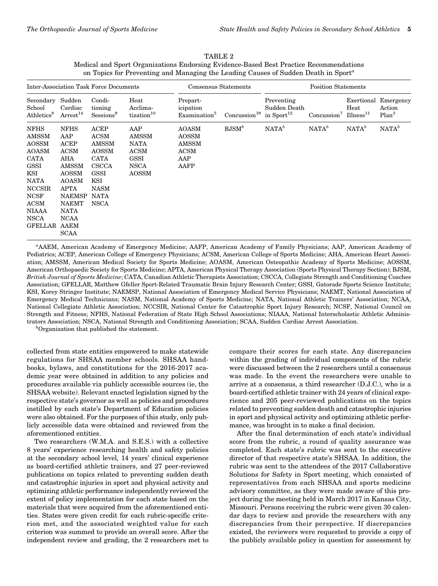TABLE 2 Medical and Sport Organizations Endorsing Evidence-Based Best Practice Recommendations on Topics for Preventing and Managing the Leading Causes of Sudden Death in Sport<sup>a</sup>

| <b>Inter-Association Task Force Documents</b>                                                                                                                                       |                                                                                                                                                                                                       |                                                                                                                                         |                                                                                   | Consensus Statements                                                |                          | <b>Position Statements</b>                           |                         |                                            |                                          |
|-------------------------------------------------------------------------------------------------------------------------------------------------------------------------------------|-------------------------------------------------------------------------------------------------------------------------------------------------------------------------------------------------------|-----------------------------------------------------------------------------------------------------------------------------------------|-----------------------------------------------------------------------------------|---------------------------------------------------------------------|--------------------------|------------------------------------------------------|-------------------------|--------------------------------------------|------------------------------------------|
| Secondary<br>School<br>Athletics <sup>8</sup>                                                                                                                                       | Sudden<br>Cardiac<br>Arrest <sup>14</sup>                                                                                                                                                             | Condi-<br>tioning<br>Sessions <sup>9</sup>                                                                                              | Heat<br>Acclima-<br>tization <sup>10</sup>                                        | Prepart-<br>icipation<br>Examination <sup>5</sup>                   | Concussion <sup>19</sup> | Preventing<br>Sudden Death<br>in $\text{Sport}^{12}$ | Concussion <sup>7</sup> | Exertional<br>Heat<br>Ilness <sup>11</sup> | Emergency<br>Action<br>Plan <sup>3</sup> |
| <b>NFHS</b><br>AMSSM<br><b>AOSSM</b><br><b>AOASM</b><br>CATA<br>GSSI<br>KSI<br><b>NATA</b><br><b>NCCSIR</b><br><b>NCSF</b><br><b>ACSM</b><br>NIAAA<br><b>NSCA</b><br><b>GFELLAR</b> | <b>NFHS</b><br>AAP<br><b>ACEP</b><br><b>ACSM</b><br>AHA<br>AMSSM<br><b>AOSSM</b><br><b>AOASM</b><br><b>APTA</b><br><b>NAEMSP</b><br><b>NAEMT</b><br><b>NATA</b><br><b>NCAA</b><br>AAEM<br><b>SCAA</b> | <b>ACEP</b><br>ACSM<br>AMSSM<br><b>AOSSM</b><br><b>CATA</b><br><b>CSCCA</b><br><b>GSSI</b><br>KSI<br><b>NASM</b><br>NATA<br><b>NSCA</b> | AAP<br>AMSSM<br><b>NATA</b><br>ACSM<br><b>GSSI</b><br><b>NSCA</b><br><b>AOSSM</b> | <b>AOASM</b><br><b>AOSSM</b><br>AMSSM<br><b>ACSM</b><br>AAP<br>AAFP | $BJSM^b$                 | $NATA^b$                                             | $NATA^b$                | $NATA^b$                                   | $NATA^b$                                 |

a AAEM, American Academy of Emergency Medicine; AAFP, American Academy of Family Physicians; AAP, American Academy of Pediatrics; ACEP, American College of Emergency Physicians; ACSM, American College of Sports Medicine; AHA, American Heart Association; AMSSM, American Medical Society for Sports Medicine; AOASM, American Osteopathic Academy of Sports Medicine; AOSSM, American Orthopaedic Society for Sports Medicine; APTA, American Physical Therapy Association (Sports Physical Therapy Section); BJSM, British Journal of Sports Medicine; CATA, Canadian Athletic Therapists Association; CSCCA, Collegiate Strength and Conditioning Coaches Association; GFELLAR, Matthew Gfeller Sport-Related Traumatic Brain Injury Research Center; GSSI, Gatorade Sports Science Institute; KSI, Korey Stringer Institute; NAEMSP, National Association of Emergency Medical Service Physicians; NAEMT, National Association of Emergency Medical Technicians; NASM, National Academy of Sports Medicine; NATA, National Athletic Trainers' Association; NCAA, National Collegiate Athletic Association; NCCSIR, National Center for Catastrophic Sport Injury Research; NCSF, National Council on Strength and Fitness; NFHS, National Federation of State High School Associations; NIAAA, National Interscholastic Athletic Administrators Association; NSCA, National Strength and Conditioning Association; SCAA, Sudden Cardiac Arrest Association. <sup>b</sup>

Organization that published the statement.

collected from state entities empowered to make statewide regulations for SHSAA member schools. SHSAA handbooks, bylaws, and constitutions for the 2016-2017 academic year were obtained in addition to any policies and procedures available via publicly accessible sources (ie, the SHSAA website). Relevant enacted legislation signed by the respective state's governor as well as policies and procedures instilled by each state's Department of Education policies were also obtained. For the purposes of this study, only publicly accessible data were obtained and reviewed from the aforementioned entities.

Two researchers (W.M.A. and S.E.S.) with a collective 8 years' experience researching health and safety policies at the secondary school level, 14 years' clinical experience as board-certified athletic trainers, and 27 peer-reviewed publications on topics related to preventing sudden death and catastrophic injuries in sport and physical activity and optimizing athletic performance independently reviewed the extent of policy implementation for each state based on the materials that were acquired from the aforementioned entities. States were given credit for each rubric-specific criterion met, and the associated weighted value for each criterion was summed to provide an overall score. After the independent review and grading, the 2 researchers met to compare their scores for each state. Any discrepancies within the grading of individual components of the rubric were discussed between the 2 researchers until a consensus was made. In the event the researchers were unable to arrive at a consensus, a third researcher (D.J.C.), who is a board-certified athletic trainer with 24 years of clinical experience and 205 peer-reviewed publications on the topics related to preventing sudden death and catastrophic injuries in sport and physical activity and optimizing athletic performance, was brought in to make a final decision.

After the final determination of each state's individual score from the rubric, a round of quality assurance was completed. Each state's rubric was sent to the executive director of that respective state's SHSAA. In addition, the rubric was sent to the attendees of the 2017 Collaborative Solutions for Safety in Sport meeting, which consisted of representatives from each SHSAA and sports medicine advisory committee, as they were made aware of this project during the meeting held in March 2017 in Kansas City, Missouri. Persons receiving the rubric were given 30 calendar days to review and provide the researchers with any discrepancies from their perspective. If discrepancies existed, the reviewers were requested to provide a copy of the publicly available policy in question for assessment by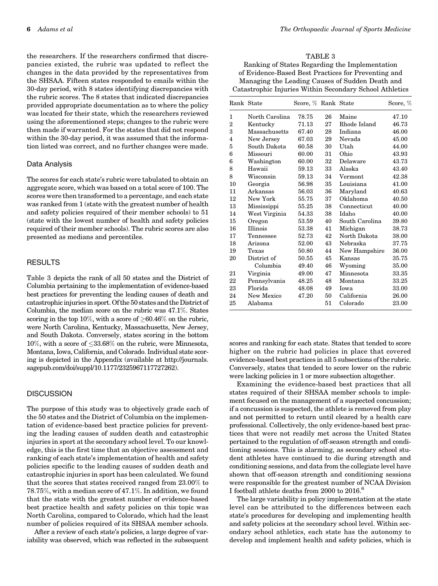the researchers. If the researchers confirmed that discrepancies existed, the rubric was updated to reflect the changes in the data provided by the representatives from the SHSAA. Fifteen states responded to emails within the 30-day period, with 8 states identifying discrepancies with the rubric scores. The 8 states that indicated discrepancies provided appropriate documentation as to where the policy was located for their state, which the researchers reviewed using the aforementioned steps; changes to the rubric were then made if warranted. For the states that did not respond within the 30-day period, it was assumed that the information listed was correct, and no further changes were made.

#### Data Analysis

The scores for each state's rubric were tabulated to obtain an aggregate score, which was based on a total score of 100. The scores were then transformed to a percentage, and each state was ranked from 1 (state with the greatest number of health and safety policies required of their member schools) to 51 (state with the lowest number of health and safety policies required of their member schools). The rubric scores are also presented as medians and percentiles.

# RESULTS

Table 3 depicts the rank of all 50 states and the District of Columbia pertaining to the implementation of evidence-based best practices for preventing the leading causes of death and catastrophic injuries in sport. Ofthe 50 states and the District of Columbia, the median score on the rubric was 47.1%. States scoring in the top 10%, with a score of  $\geq$ 60.46% on the rubric, were North Carolina, Kentucky, Massachusetts, New Jersey, and South Dakota. Conversely, states scoring in the bottom  $10\%$ , with a score of  $\leq 33.68\%$  on the rubric, were Minnesota, Montana, Iowa, California, and Colorado. Individual state scoring is depicted in the Appendix (available at [http://journals.](http://journals.sagepub.com/doi/suppl/10.1177/2325967117727262) [sagepub.com/doi/suppl/10.1177/2325967117727262\)](http://journals.sagepub.com/doi/suppl/10.1177/2325967117727262).

#### **DISCUSSION**

The purpose of this study was to objectively grade each of the 50 states and the District of Columbia on the implementation of evidence-based best practice policies for preventing the leading causes of sudden death and catastrophic injuries in sport at the secondary school level. To our knowledge, this is the first time that an objective assessment and ranking of each state's implementation of health and safety policies specific to the leading causes of sudden death and catastrophic injuries in sport has been calculated. We found that the scores that states received ranged from 23.00% to 78.75%, with a median score of 47.1%. In addition, we found that the state with the greatest number of evidence-based best practice health and safety policies on this topic was North Carolina, compared to Colorado, which had the least number of policies required of its SHSAA member schools.

After a review of each state's policies, a large degree of variability was observed, which was reflected in the subsequent

TABLE 3

Ranking of States Regarding the Implementation of Evidence-Based Best Practices for Preventing and Managing the Leading Causes of Sudden Death and Catastrophic Injuries Within Secondary School Athletics

|                | Rank State     | Score, % Rank State |    |                | Score, % |
|----------------|----------------|---------------------|----|----------------|----------|
| 1              | North Carolina | 78.75               | 26 | Maine          | 47.10    |
| $\overline{2}$ | Kentucky       | 71.13               | 27 | Rhode Island   | 46.73    |
| 3              | Massachusetts  | 67.40               | 28 | Indiana        | 46.00    |
| $\overline{4}$ | New Jersey     | 67.03               | 29 | Nevada         | 45.00    |
| 5              | South Dakota   | 60.58               | 30 | Utah           | 44.00    |
| 6              | Missouri       | 60.00               | 31 | Ohio           | 43.93    |
| 6              | Washington     | 60.00               | 32 | Delaware       | 43.73    |
| 8              | Hawaii         | 59.13               | 33 | Alaska         | 43.40    |
| 8              | Wisconsin      | 59.13               | 34 | Vermont        | 42.38    |
| 10             | Georgia        | 56.98               | 35 | Louisiana      | 41.00    |
| 11             | Arkansas       | 56.03               | 36 | Maryland       | 40.63    |
| 12             | New York       | 55.75               | 37 | Oklahoma       | 40.50    |
| 13             | Mississippi    | 55.25               | 38 | Connecticut    | 40.00    |
| 14             | West Virginia  | 54.33               | 38 | Idaho          | 40.00    |
| 15             | Oregon         | 53.59               | 40 | South Carolina | 39.80    |
| 16             | Illinois       | 53.38               | 41 | Michigan       | 38.73    |
| 17             | Tennessee      | 52.73               | 42 | North Dakota   | 38.00    |
| 18             | Arizona        | 52.00               | 43 | Nebraska       | 37.75    |
| 19             | Texas          | 50.80               | 44 | New Hampshire  | 36.00    |
| 20             | District of    | 50.55               | 45 | Kansas         | 35.75    |
|                | Columbia       | 49.40               | 46 | Wyoming        | 35.00    |
| 21             | Virginia       | 49.00               | 47 | Minnesota      | 33.35    |
| 22             | Pennsylvania   | 48.25               | 48 | Montana        | 33.25    |
| 23             | Florida        | 48.08               | 49 | Iowa           | 33.00    |
| 24             | New Mexico     | 47.20               | 50 | California     | 26.00    |
| 25             | Alabama        |                     | 51 | Colorado       | 23.00    |

scores and ranking for each state. States that tended to score higher on the rubric had policies in place that covered evidence-based best practices in all 5 subsections of the rubric. Conversely, states that tended to score lower on the rubric were lacking policies in 1 or more subsection altogether.

Examining the evidence-based best practices that all states required of their SHSAA member schools to implement focused on the management of a suspected concussion; if a concussion is suspected, the athlete is removed from play and not permitted to return until cleared by a health care professional. Collectively, the only evidence-based best practices that were not readily met across the United States pertained to the regulation of off-season strength and conditioning sessions. This is alarming, as secondary school student athletes have continued to die during strength and conditioning sessions, and data from the collegiate level have shown that off-season strength and conditioning sessions were responsible for the greatest number of NCAA Division I football athlete deaths from 2000 to 2016.<sup>6</sup>

The large variability in policy implementation at the state level can be attributed to the differences between each state's procedures for developing and implementing health and safety policies at the secondary school level. Within secondary school athletics, each state has the autonomy to develop and implement health and safety policies, which is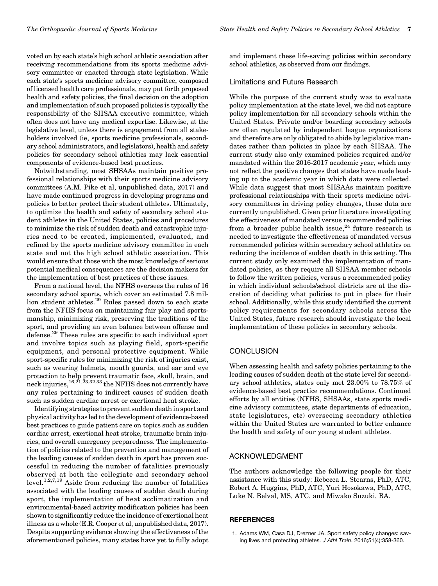voted on by each state's high school athletic association after receiving recommendations from its sports medicine advisory committee or enacted through state legislation. While each state's sports medicine advisory committee, composed of licensed health care professionals, may put forth proposed health and safety policies, the final decision on the adoption and implementation of such proposed policies is typically the responsibility of the SHSAA executive committee, which often does not have any medical expertise. Likewise, at the legislative level, unless there is engagement from all stakeholders involved (ie, sports medicine professionals, secondary school administrators, and legislators), health and safety policies for secondary school athletics may lack essential components of evidence-based best practices.

Notwithstanding, most SHSAAs maintain positive professional relationships with their sports medicine advisory committees (A.M. Pike et al, unpublished data, 2017) and have made continued progress in developing programs and policies to better protect their student athletes. Ultimately, to optimize the health and safety of secondary school student athletes in the United States, policies and procedures to minimize the risk of sudden death and catastrophic injuries need to be created, implemented, evaluated, and refined by the sports medicine advisory committee in each state and not the high school athletic association. This would ensure that those with the most knowledge of serious potential medical consequences are the decision makers for the implementation of best practices of these issues.

From a national level, the NFHS oversees the rules of 16 secondary school sports, which cover an estimated 7.8 million student athletes.<sup>29</sup> Rules passed down to each state from the NFHS focus on maintaining fair play and sportsmanship, minimizing risk, preserving the traditions of the sport, and providing an even balance between offense and defense.29 These rules are specific to each individual sport and involve topics such as playing field, sport-specific equipment, and personal protective equipment. While sport-specific rules for minimizing the risk of injuries exist, such as wearing helmets, mouth guards, and ear and eye protection to help prevent traumatic face, skull, brain, and neck injuries,  $^{16,21,23,32,33}$  the NFHS does not currently have any rules pertaining to indirect causes of sudden death such as sudden cardiac arrest or exertional heat stroke.

Identifying strategies to prevent sudden death in sport and physical activity has led to the development of evidence-based best practices to guide patient care on topics such as sudden cardiac arrest, exertional heat stroke, traumatic brain injuries, and overall emergency preparedness. The implementation of policies related to the prevention and management of the leading causes of sudden death in sport has proven successful in reducing the number of fatalities previously observed at both the collegiate and secondary school level.1,2,7,19 Aside from reducing the number of fatalities associated with the leading causes of sudden death during sport, the implementation of heat acclimatization and environmental-based activity modification policies has been shown to significantly reduce the incidence of exertional heat illness as a whole (E.R. Cooper et al, unpublished data, 2017). Despite supporting evidence showing the effectiveness of the aforementioned policies, many states have yet to fully adopt

and implement these life-saving policies within secondary school athletics, as observed from our findings.

# Limitations and Future Research

While the purpose of the current study was to evaluate policy implementation at the state level, we did not capture policy implementation for all secondary schools within the United States. Private and/or boarding secondary schools are often regulated by independent league organizations and therefore are only obligated to abide by legislative mandates rather than policies in place by each SHSAA. The current study also only examined policies required and/or mandated within the 2016-2017 academic year, which may not reflect the positive changes that states have made leading up to the academic year in which data were collected. While data suggest that most SHSAAs maintain positive professional relationships with their sports medicine advisory committees in driving policy changes, these data are currently unpublished. Given prior literature investigating the effectiveness of mandated versus recommended policies from a broader public health issue,<sup>24</sup> future research is needed to investigate the effectiveness of mandated versus recommended policies within secondary school athletics on reducing the incidence of sudden death in this setting. The current study only examined the implementation of mandated policies, as they require all SHSAA member schools to follow the written policies, versus a recommended policy in which individual schools/school districts are at the discretion of deciding what policies to put in place for their school. Additionally, while this study identified the current policy requirements for secondary schools across the United States, future research should investigate the local implementation of these policies in secondary schools.

# **CONCLUSION**

When assessing health and safety policies pertaining to the leading causes of sudden death at the state level for secondary school athletics, states only met 23.00% to 78.75% of evidence-based best practice recommendations. Continued efforts by all entities (NFHS, SHSAAs, state sports medicine advisory committees, state departments of education, state legislatures, etc) overseeing secondary athletics within the United States are warranted to better enhance the health and safety of our young student athletes.

# ACKNOWLEDGMENT

The authors acknowledge the following people for their assistance with this study: Rebecca L. Stearns, PhD, ATC, Robert A. Huggins, PhD, ATC, Yuri Hosokawa, PhD, ATC, Luke N. Belval, MS, ATC, and Miwako Suzuki, BA.

#### **REFERENCES**

1. Adams WM, Casa DJ, Drezner JA. Sport safety policy changes: saving lives and protecting athletes. J Athl Train. 2016;51(4):358-360.